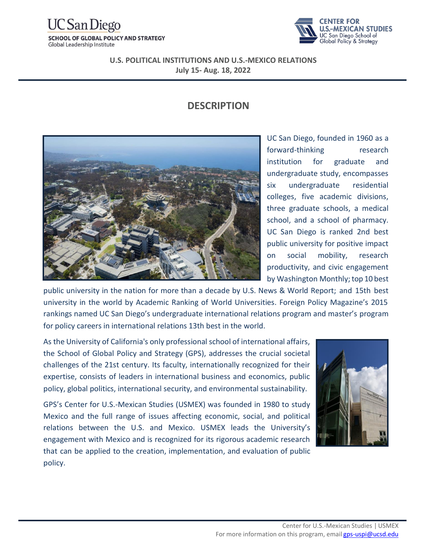# CSan Diego

**SCHOOL OF GLOBAL POLICY AND STRATEGY** Global Leadership Institute



**U.S. POLITICAL INSTITUTIONS AND U.S.-MEXICO RELATIONS July 15- Aug. 18, 2022**

### **DESCRIPTION**



UC San Diego, founded in 1960 as a forward-thinking research institution for graduate and undergraduate study, encompasses six undergraduate residential colleges, five academic divisions, three graduate schools, a medical school, and a school of pharmacy. UC San Diego is ranked 2nd best public university for positive impact on social mobility, research productivity, and civic engagement by Washington Monthly; top 10 best

public university in the nation for more than a decade by U.S. News & World Report; and 15th best university in the world by Academic Ranking of World Universities. Foreign Policy Magazine's 2015 rankings named UC San Diego's undergraduate international relations program and master's program for policy careers in international relations 13th best in the world.

As the University of California's only professional school of international affairs, the School of Global Policy and Strategy (GPS), addresses the crucial societal challenges of the 21st century. Its faculty, internationally recognized for their expertise, consists of leaders in international business and economics, public policy, global politics, international security, and environmental sustainability.

GPS's Center for U.S.-Mexican Studies (USMEX) was founded in 1980 to study Mexico and the full range of issues affecting economic, social, and political relations between the U.S. and Mexico. USMEX leads the University's engagement with Mexico and is recognized for its rigorous academic research that can be applied to the creation, implementation, and evaluation of public policy.

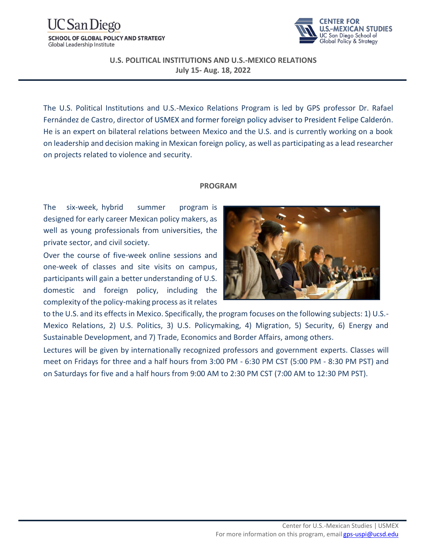#### 'San Diego **SCHOOL OF GLOBAL POLICY AND STRATEGY** Global Leadership Institute



#### **U.S. POLITICAL INSTITUTIONS AND U.S.-MEXICO RELATIONS July 15- Aug. 18, 2022**

The U.S. Political Institutions and U.S.-Mexico Relations Program is led by GPS professor Dr. Rafael Fernández de Castro, director of USMEX and former foreign policy adviser to President Felipe Calderón. He is an expert on bilateral relations between Mexico and the U.S. and is currently working on a book on leadership and decision making in Mexican foreig[n policy, as well](https://mvsim.ccnmtl.columbia.edu/) [as](https://mvsim.ccnmtl.columbia.edu/) participating as a lead researcher on projects related to violence and security.

#### **PROGRAM**

The six-week, hybrid summer program is designed for early career Mexican policy makers, as well as young professionals from universities, the private sector, and civil society.

Over the course of five-week online sessions and one-week of classes and site visits on campus, participants will gain a better understanding of U.S. domestic and foreign policy, including the complexity of the policy-making process as it relates



to the U.S. and its effects in Mexico. Specifically, the program focuses on the following subjects: 1) U.S.- Mexico Relations, 2) U.S. Politics, 3) U.S. Policymaking, 4) Migration, 5) Security, 6) Energy and Sustainable Development, and 7) Trade, Economics and Border Affairs, among others.

Lectures will be given by internationally recognized professors and government experts. Classes will meet on Fridays for three and a half hours from 3:00 PM - 6:30 PM CST (5:00 PM - 8:30 PM PST) and on Saturdays for five and a half hours from 9:00 AM to 2:30 PM CST (7:00 AM to 12:30 PM PST).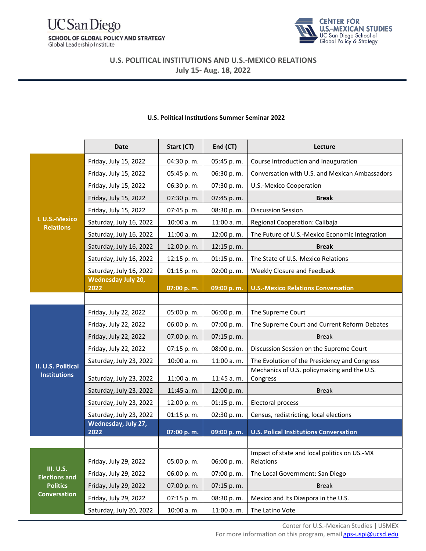#### **UC** San Diego **SCHOOL OF GLOBAL POLICY AND STRATEGY** Global Leadership Institute



**U.S. POLITICAL INSTITUTIONS AND U.S.-MEXICO RELATIONS July 15- Aug. 18, 2022**

|                                                                             | <b>Date</b>                                    | Start (CT)               | End (CT)                 | Lecture                                                   |
|-----------------------------------------------------------------------------|------------------------------------------------|--------------------------|--------------------------|-----------------------------------------------------------|
| I. U.S.-Mexico<br><b>Relations</b>                                          | Friday, July 15, 2022                          | 04:30 p.m.               | 05:45 p.m.               | Course Introduction and Inauguration                      |
|                                                                             | Friday, July 15, 2022                          | 05:45 p.m.               | 06:30 p.m.               | Conversation with U.S. and Mexican Ambassadors            |
|                                                                             | Friday, July 15, 2022                          | 06:30 p.m.               | 07:30 p.m.               | U.S.-Mexico Cooperation                                   |
|                                                                             | Friday, July 15, 2022                          | 07:30 p.m.               | 07:45 p.m.               | <b>Break</b>                                              |
|                                                                             | Friday, July 15, 2022                          | 07:45 p.m.               | 08:30 p.m.               | <b>Discussion Session</b>                                 |
|                                                                             | Saturday, July 16, 2022                        | 10:00 a.m.               | 11:00 a.m.               | Regional Cooperation: Calibaja                            |
|                                                                             | Saturday, July 16, 2022                        | 11:00 a.m.               | 12:00 p.m.               | The Future of U.S.-Mexico Economic Integration            |
|                                                                             | Saturday, July 16, 2022                        | 12:00 p.m.               | 12:15 p.m.               | <b>Break</b>                                              |
|                                                                             | Saturday, July 16, 2022                        | 12:15 p.m.               | 01:15 p.m.               | The State of U.S.-Mexico Relations                        |
|                                                                             | Saturday, July 16, 2022                        | 01:15 p.m.               | 02:00 p.m.               | Weekly Closure and Feedback                               |
|                                                                             | <b>Wednesday July 20,</b><br>2022              |                          |                          | <b>U.S.-Mexico Relations Conversation</b>                 |
|                                                                             |                                                | 07:00 p.m.               | 09:00 p.m.               |                                                           |
| II. U.S. Political<br><b>Institutions</b>                                   | Friday, July 22, 2022                          | 05:00 p.m.               | 06:00 p.m.               | The Supreme Court                                         |
|                                                                             | Friday, July 22, 2022                          | 06:00 p.m.               | 07:00 p.m.               | The Supreme Court and Current Reform Debates              |
|                                                                             |                                                |                          |                          | <b>Break</b>                                              |
|                                                                             | Friday, July 22, 2022<br>Friday, July 22, 2022 | 07:00 p.m.<br>07:15 p.m. | 07:15 p.m.<br>08:00 p.m. | Discussion Session on the Supreme Court                   |
|                                                                             | Saturday, July 23, 2022                        | 10:00 a.m.               | 11:00 a.m.               | The Evolution of the Presidency and Congress              |
|                                                                             |                                                |                          |                          | Mechanics of U.S. policymaking and the U.S.               |
|                                                                             | Saturday, July 23, 2022                        | 11:00 a.m.               | 11:45 a.m.               | Congress                                                  |
|                                                                             | Saturday, July 23, 2022                        | 11:45 a.m.               | 12:00 p.m.               | <b>Break</b>                                              |
|                                                                             | Saturday, July 23, 2022                        | 12:00 p.m.               | 01:15 p.m.               | Electoral process                                         |
|                                                                             | Saturday, July 23, 2022                        | 01:15 p.m.               | 02:30 p.m.               | Census, redistricting, local elections                    |
|                                                                             | Wednesday, July 27,<br>2022                    | 07:00 p.m.               | 09:00 p.m.               | <b>U.S. Polical Institutions Conversation</b>             |
|                                                                             |                                                |                          |                          |                                                           |
| III. U.S.<br><b>Elections and</b><br><b>Politics</b><br><b>Conversation</b> | Friday, July 29, 2022                          | 05:00 p.m.               | 06:00 p.m.               | Impact of state and local politics on US.-MX<br>Relations |
|                                                                             | Friday, July 29, 2022                          | 06:00 p.m.               | 07:00 p.m.               | The Local Government: San Diego                           |
|                                                                             | Friday, July 29, 2022                          | 07:00 p.m.               | 07:15 p.m.               | <b>Break</b>                                              |
|                                                                             | Friday, July 29, 2022                          | 07:15 p.m.               | 08:30 p.m.               | Mexico and Its Diaspora in the U.S.                       |
|                                                                             | Saturday, July 20, 2022                        | 10:00 a.m.               | 11:00 a.m.               | The Latino Vote                                           |

#### **U.S. Political Institutions Summer Seminar 2022**

Center for U.S.-Mexican Studies | USMEX For more information on this program, email [gps-uspi@ucsd.edu](mailto:gps-uspi@ucsd.edu)